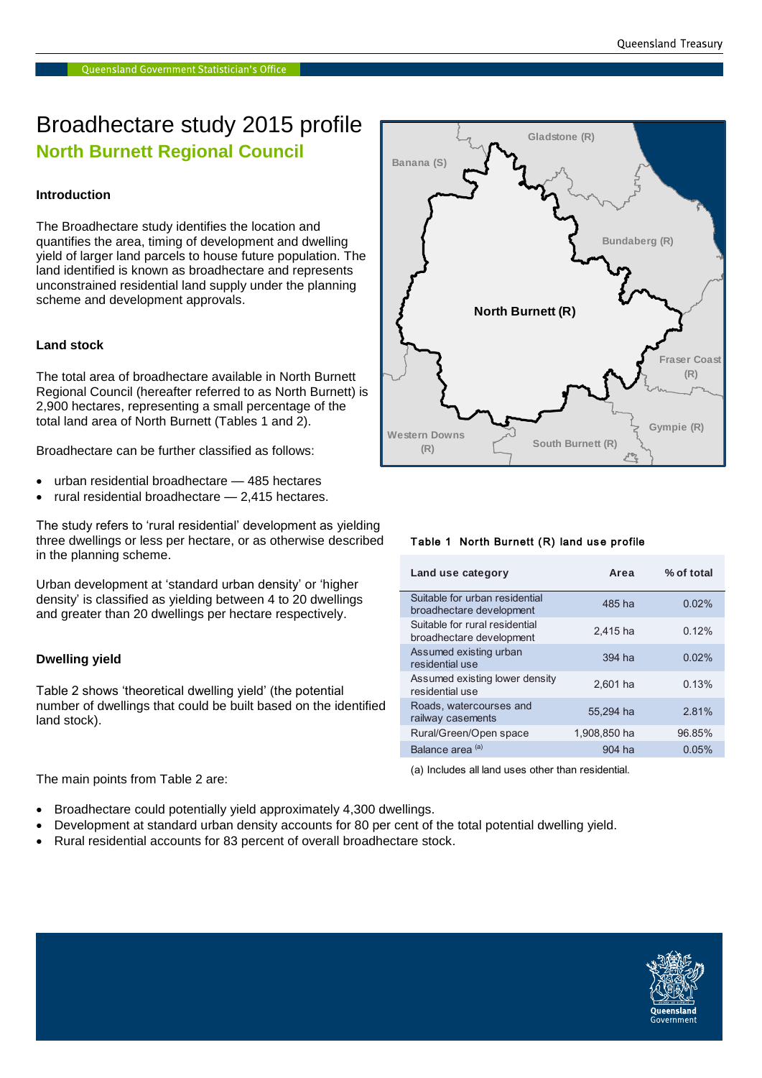### Broadhectare study 2015 profile **North Burnett Regional Council**

#### **Introduction**

The Broadhectare study identifies the location and quantifies the area, timing of development and dwelling yield of larger land parcels to house future population. The land identified is known as broadhectare and represents unconstrained residential land supply under the planning scheme and development approvals.

#### **Land stock**

The total area of broadhectare available in North Burnett Regional Council (hereafter referred to as North Burnett) is 2,900 hectares, representing a small percentage of the total land area of North Burnett (Tables 1 and 2).

Broadhectare can be further classified as follows:

- urban residential broadhectare 485 hectares
- rural residential broadhectare 2,415 hectares.

The study refers to 'rural residential' development as yielding three dwellings or less per hectare, or as otherwise described in the planning scheme.

Urban development at 'standard urban density' or 'higher density' is classified as yielding between 4 to 20 dwellings and greater than 20 dwellings per hectare respectively.

#### **Dwelling yield**

Table 2 shows 'theoretical dwelling yield' (the potential number of dwellings that could be built based on the identified land stock).

The main points from Table 2 are:

- Broadhectare could potentially yield approximately 4,300 dwellings.
- Development at standard urban density accounts for 80 per cent of the total potential dwelling yield.
- Rural residential accounts for 83 percent of overall broadhectare stock.



#### Table 1 North Burnett (R) land use profile

| Land use category                                          | Area         | % of total |
|------------------------------------------------------------|--------------|------------|
| Suitable for urban residential<br>broadhectare development | 485 ha       | 0.02%      |
| Suitable for rural residential<br>broadhectare development | 2.415 ha     | 0.12%      |
| Assumed existing urban<br>residential use                  | $394$ ha     | 0.02%      |
| Assumed existing lower density<br>residential use          | $2.601$ ha   | 0.13%      |
| Roads, watercourses and<br>railway casements               | 55.294 ha    | 2.81%      |
| Rural/Green/Open space                                     | 1,908,850 ha | 96.85%     |
| Balance area <sup>(a)</sup>                                | 904 ha       | 0.05%      |

(a) Includes all land uses other than residential.

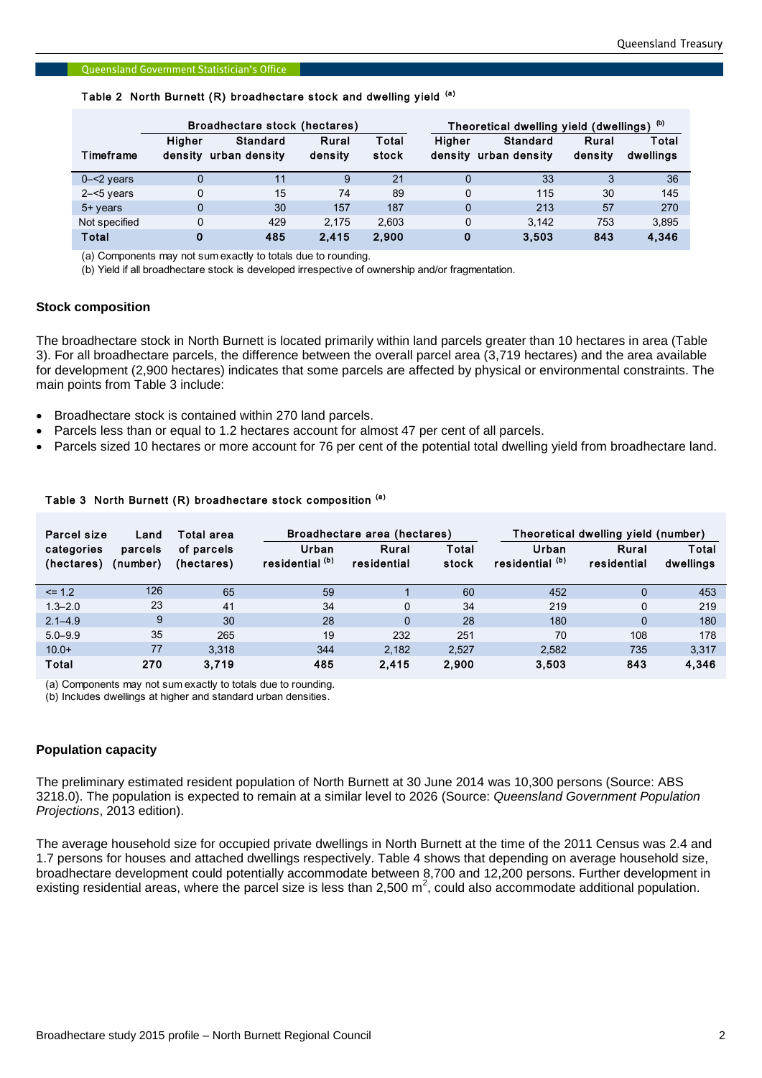|               |                   | Broadhectare stock (hectares) |                  |                |        | Theoretical dwelling yield (dwellings) (b) |                  |                    |  |
|---------------|-------------------|-------------------------------|------------------|----------------|--------|--------------------------------------------|------------------|--------------------|--|
| Timeframe     | Higher<br>densitv | Standard<br>urban density     | Rural<br>density | Total<br>stock | Higher | Standard<br>density urban density          | Rural<br>density | Total<br>dwellings |  |
| $0 - 2$ years |                   | 11                            | 9                | 21             | 0      | 33                                         | 3                | 36                 |  |
| $2 - 5$ years |                   | 15                            | 74               | 89             | 0      | 115                                        | 30               | 145                |  |
| 5+ years      | $\Omega$          | 30                            | 157              | 187            | 0      | 213                                        | 57               | 270                |  |
| Not specified |                   | 429                           | 2.175            | 2.603          | 0      | 3.142                                      | 753              | 3,895              |  |
| Total         | 0                 | 485                           | 2.415            | 2.900          | 0      | 3.503                                      | 843              | 4,346              |  |

## Queensland Government Statistician's Office<br>Table 2 North Burnett (R) broadhectare stock and dwelling yield <sup>(a)</sup>

(a) Components may not sum exactly to totals due to rounding.

(b) Yield if all broadhectare stock is developed irrespective of ownership and/or fragmentation.

#### **Stock composition**

The broadhectare stock in North Burnett is located primarily within land parcels greater than 10 hectares in area (Table 3). For all broadhectare parcels, the difference between the overall parcel area (3,719 hectares) and the area available for development (2,900 hectares) indicates that some parcels are affected by physical or environmental constraints. The main points from Table 3 include:

- Broadhectare stock is contained within 270 land parcels.
- Parcels less than or equal to 1.2 hectares account for almost 47 per cent of all parcels.
- Parcels sized 10 hectares or more account for 76 per cent of the potential total dwelling yield from broadhectare land.

#### Table 3 North Burnett (R) broadhectare stock composition (a)

| Parcel size<br>Land      |                     | Total area               | Broadhectare area (hectares)        | Theoretical dwelling yield (number) |                |                          |                      |                    |
|--------------------------|---------------------|--------------------------|-------------------------------------|-------------------------------------|----------------|--------------------------|----------------------|--------------------|
| categories<br>(hectares) | parcels<br>(number) | of parcels<br>(hectares) | Urban<br>residential <sup>(b)</sup> | Rural<br>residential                | Total<br>stock | Urban<br>residential (b) | Rural<br>residential | Total<br>dwellings |
| $\leq$ 1.2               | 126                 | 65                       | 59                                  |                                     | 60             | 452                      | $\Omega$             | 453                |
| $1.3 - 2.0$              | 23                  | 41                       | 34                                  | $\mathbf 0$                         | 34             | 219                      | 0                    | 219                |
| $2.1 - 4.9$              | 9                   | 30                       | 28                                  | $\mathbf{0}$                        | 28             | 180                      | $\mathbf{0}$         | 180                |
| $5.0 - 9.9$              | 35                  | 265                      | 19                                  | 232                                 | 251            | 70                       | 108                  | 178                |
| $10.0+$                  | 77                  | 3.318                    | 344                                 | 2.182                               | 2.527          | 2.582                    | 735                  | 3,317              |
| Total                    | 270                 | 3.719                    | 485                                 | 2,415                               | 2,900          | 3,503                    | 843                  | 4,346              |

(a) Components may not sum exactly to totals due to rounding.

(b) Includes dwellings at higher and standard urban densities.

#### **Population capacity**

The preliminary estimated resident population of North Burnett at 30 June 2014 was 10,300 persons (Source: ABS 3218.0). The population is expected to remain at a similar level to 2026 (Source: *Queensland Government Population Projections*, 2013 edition).

The average household size for occupied private dwellings in North Burnett at the time of the 2011 Census was 2.4 and 1.7 persons for houses and attached dwellings respectively. Table 4 shows that depending on average household size, broadhectare development could potentially accommodate between 8,700 and 12,200 persons. Further development in existing residential areas, where the parcel size is less than 2,500 m<sup>2</sup>, could also accommodate additional population.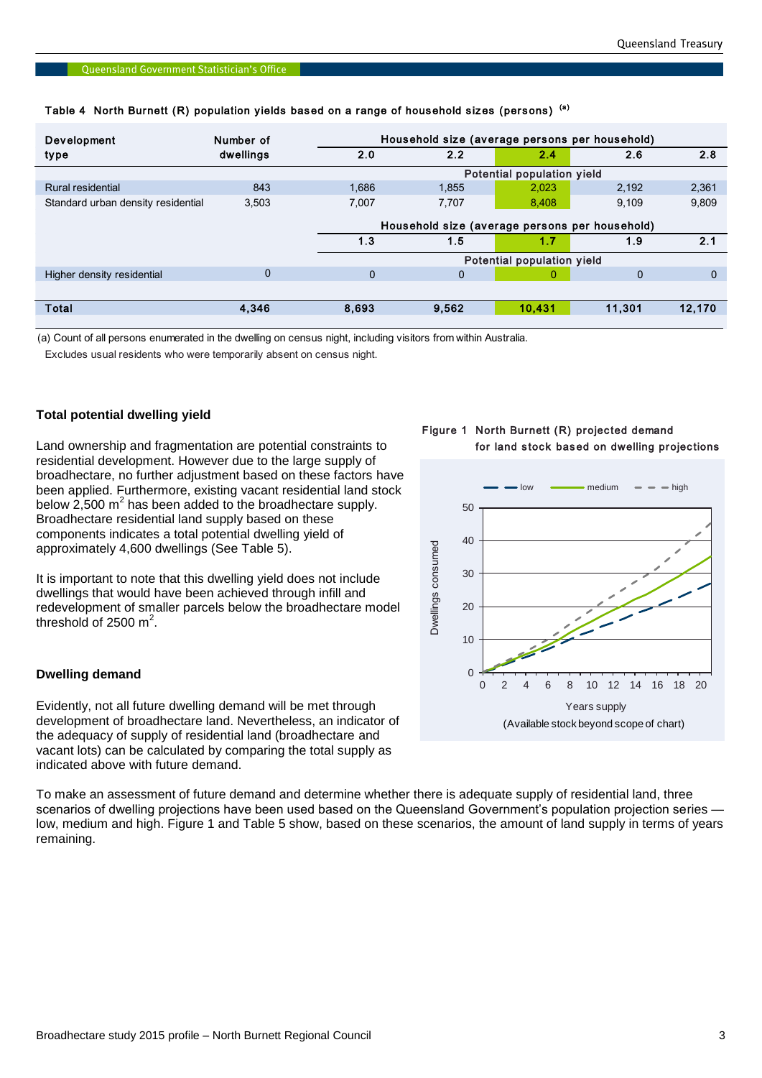| Number of   | Household size (average persons per household) |          |        |          |                            |  |  |
|-------------|------------------------------------------------|----------|--------|----------|----------------------------|--|--|
| dwellings   | 2.0                                            | 2.2      | 2.4    | 2.6      | 2.8                        |  |  |
|             |                                                |          |        |          |                            |  |  |
| 843         | 1,686                                          | 1,855    | 2,023  | 2,192    | 2,361                      |  |  |
| 3,503       | 7,007                                          | 7,707    | 8,408  | 9.109    | 9,809                      |  |  |
|             | Household size (average persons per household) |          |        |          |                            |  |  |
|             | 1.3                                            | 1.5      | 1.7    | 1.9      | 2.1                        |  |  |
|             | Potential population yield                     |          |        |          |                            |  |  |
| $\mathbf 0$ | $\mathbf{0}$                                   | $\Omega$ | 0      | $\Omega$ | 0                          |  |  |
|             |                                                |          |        |          |                            |  |  |
| 4,346       | 8,693                                          | 9,562    | 10,431 | 11,301   | 12,170                     |  |  |
|             |                                                |          |        |          | Potential population yield |  |  |

# Queensland Government Statistician's Office<br>Table 4 North Burnett (R) population yields based on a range of household sizes (persons) <sup>(a)</sup>

(a) Count of all persons enumerated in the dwelling on census night, including visitors from within Australia.

Excludes usual residents who were temporarily absent on census night.

#### **Total potential dwelling yield**

Land ownership and fragmentation are potential constraints to residential development. However due to the large supply of broadhectare, no further adjustment based on these factors have been applied. Furthermore, existing vacant residential land stock below 2,500  $m^2$  has been added to the broadhectare supply. Broadhectare residential land supply based on these components indicates a total potential dwelling yield of approximately 4,600 dwellings (See Table 5).

It is important to note that this dwelling yield does not include dwellings that would have been achieved through infill and redevelopment of smaller parcels below the broadhectare model threshold of 2500  $m^2$ .

#### **Dwelling demand**

Evidently, not all future dwelling demand will be met through development of broadhectare land. Nevertheless, an indicator of the adequacy of supply of residential land (broadhectare and vacant lots) can be calculated by comparing the total supply as indicated above with future demand.

To make an assessment of future demand and determine whether there is adequate supply of residential land, three scenarios of dwelling projections have been used based on the Queensland Government's population projection series low, medium and high. Figure 1 and Table 5 show, based on these scenarios, the amount of land supply in terms of years remaining.

#### Figure 1 North Burnett (R) projected demand for land stock based on dwelling projections

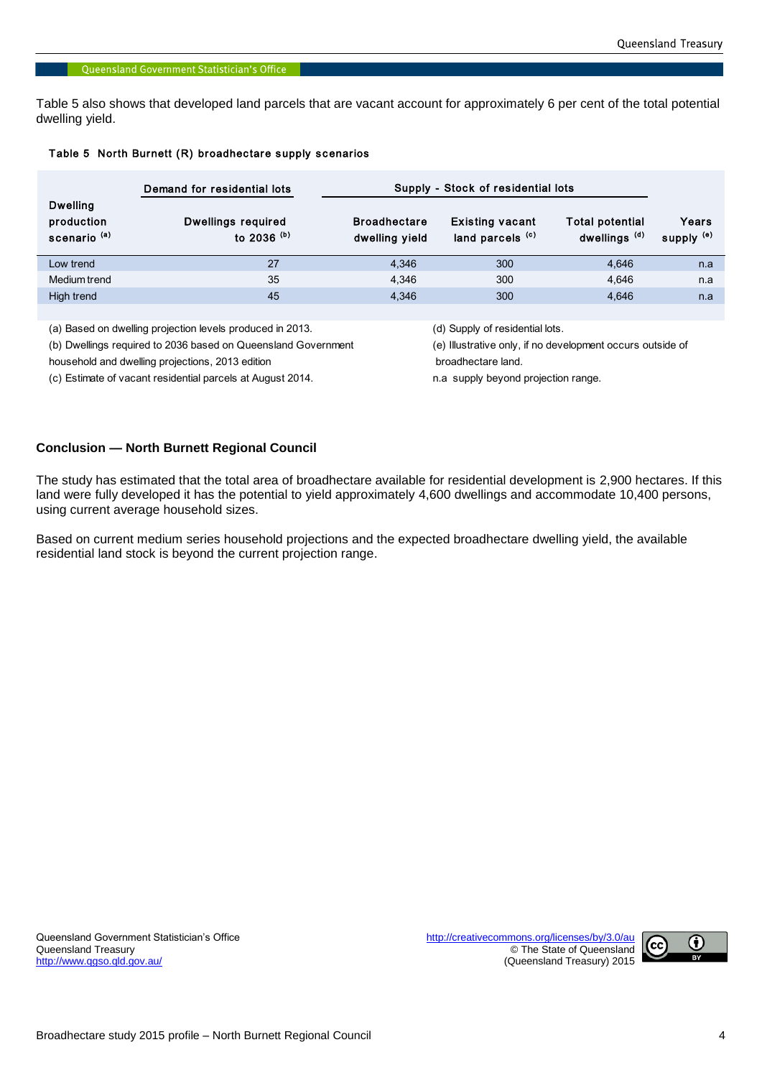Table 5 also shows that developed land parcels that are vacant account for approximately 6 per cent of the total potential dwelling yield.

|                                                          | Demand for residential lots         | Supply - Stock of residential lots    |                                            |                                                    |                                |
|----------------------------------------------------------|-------------------------------------|---------------------------------------|--------------------------------------------|----------------------------------------------------|--------------------------------|
| <b>Dwelling</b><br>production<br>scenario <sup>(a)</sup> | Dwellings required<br>to 2036 $(b)$ | <b>Broadhectare</b><br>dwelling yield | <b>Existing vacant</b><br>land parcels (c) | <b>Total potential</b><br>dwellings <sup>(d)</sup> | Years<br>supply <sup>(e)</sup> |
| Low trend                                                | 27                                  | 4.346                                 | 300                                        | 4.646                                              | n.a                            |
| Medium trend                                             | 35                                  | 4.346                                 | 300                                        | 4.646                                              | n.a                            |
| High trend                                               | 45                                  | 4.346                                 | 300                                        | 4.646                                              | n.a                            |
|                                                          |                                     |                                       |                                            |                                                    |                                |

(a) Based on dwelling projection levels produced in 2013. (d) Supply of residential lots.

household and dwelling projections, 2013 edition broadhectare land.

(c) Estimate of vacant residential parcels at August 2014. n.a supply beyond projection range.

(b) Dwellings required to 2036 based on Queensland Government (e) Illustrative only, if no development occurs outside of

#### **Conclusion — North Burnett Regional Council**

The study has estimated that the total area of broadhectare available for residential development is 2,900 hectares. If this land were fully developed it has the potential to yield approximately 4,600 dwellings and accommodate 10,400 persons, using current average household sizes.

Based on current medium series household projections and the expected broadhectare dwelling yield, the available residential land stock is beyond the current projection range.